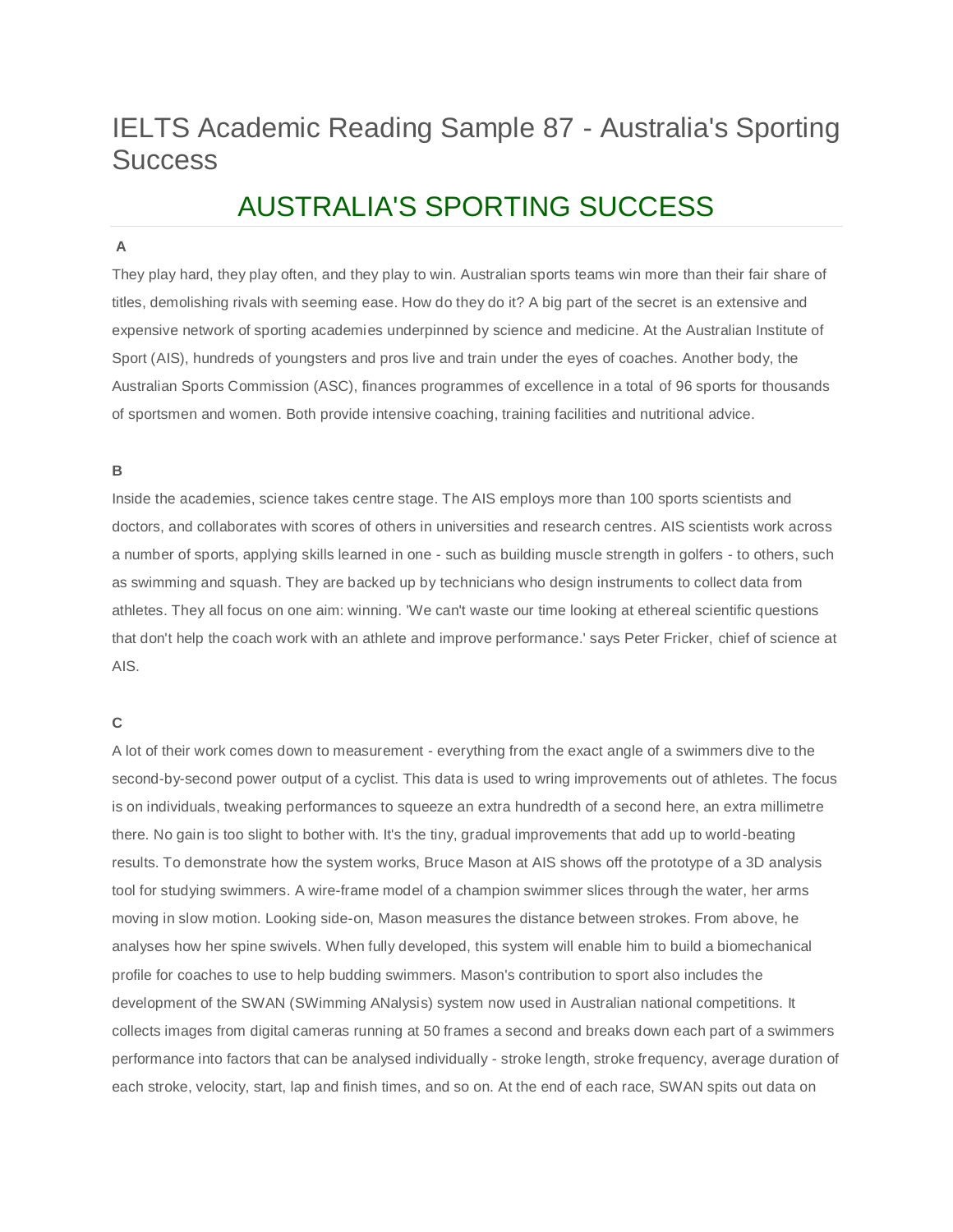# IELTS Academic Reading Sample 87 - Australia's Sporting **Success**

# AUSTRALIA'S SPORTING SUCCESS

## **A**

They play hard, they play often, and they play to win. Australian sports teams win more than their fair share of titles, demolishing rivals with seeming ease. How do they do it? A big part of the secret is an extensive and expensive network of sporting academies underpinned by science and medicine. At the Australian Institute of Sport (AIS), hundreds of youngsters and pros live and train under the eyes of coaches. Another body, the Australian Sports Commission (ASC), finances programmes of excellence in a total of 96 sports for thousands of sportsmen and women. Both provide intensive coaching, training facilities and nutritional advice.

### **B**

Inside the academies, science takes centre stage. The AIS employs more than 100 sports scientists and doctors, and collaborates with scores of others in universities and research centres. AIS scientists work across a number of sports, applying skills learned in one - such as building muscle strength in golfers - to others, such as swimming and squash. They are backed up by technicians who design instruments to collect data from athletes. They all focus on one aim: winning. 'We can't waste our time looking at ethereal scientific questions that don't help the coach work with an athlete and improve performance.' says Peter Fricker, chief of science at AIS.

### **C**

A lot of their work comes down to measurement - everything from the exact angle of a swimmers dive to the second-by-second power output of a cyclist. This data is used to wring improvements out of athletes. The focus is on individuals, tweaking performances to squeeze an extra hundredth of a second here, an extra millimetre there. No gain is too slight to bother with. It's the tiny, gradual improvements that add up to world-beating results. To demonstrate how the system works, Bruce Mason at AIS shows off the prototype of a 3D analysis tool for studying swimmers. A wire-frame model of a champion swimmer slices through the water, her arms moving in slow motion. Looking side-on, Mason measures the distance between strokes. From above, he analyses how her spine swivels. When fully developed, this system will enable him to build a biomechanical profile for coaches to use to help budding swimmers. Mason's contribution to sport also includes the development of the SWAN (SWimming ANalysis) system now used in Australian national competitions. It collects images from digital cameras running at 50 frames a second and breaks down each part of a swimmers performance into factors that can be analysed individually - stroke length, stroke frequency, average duration of each stroke, velocity, start, lap and finish times, and so on. At the end of each race, SWAN spits out data on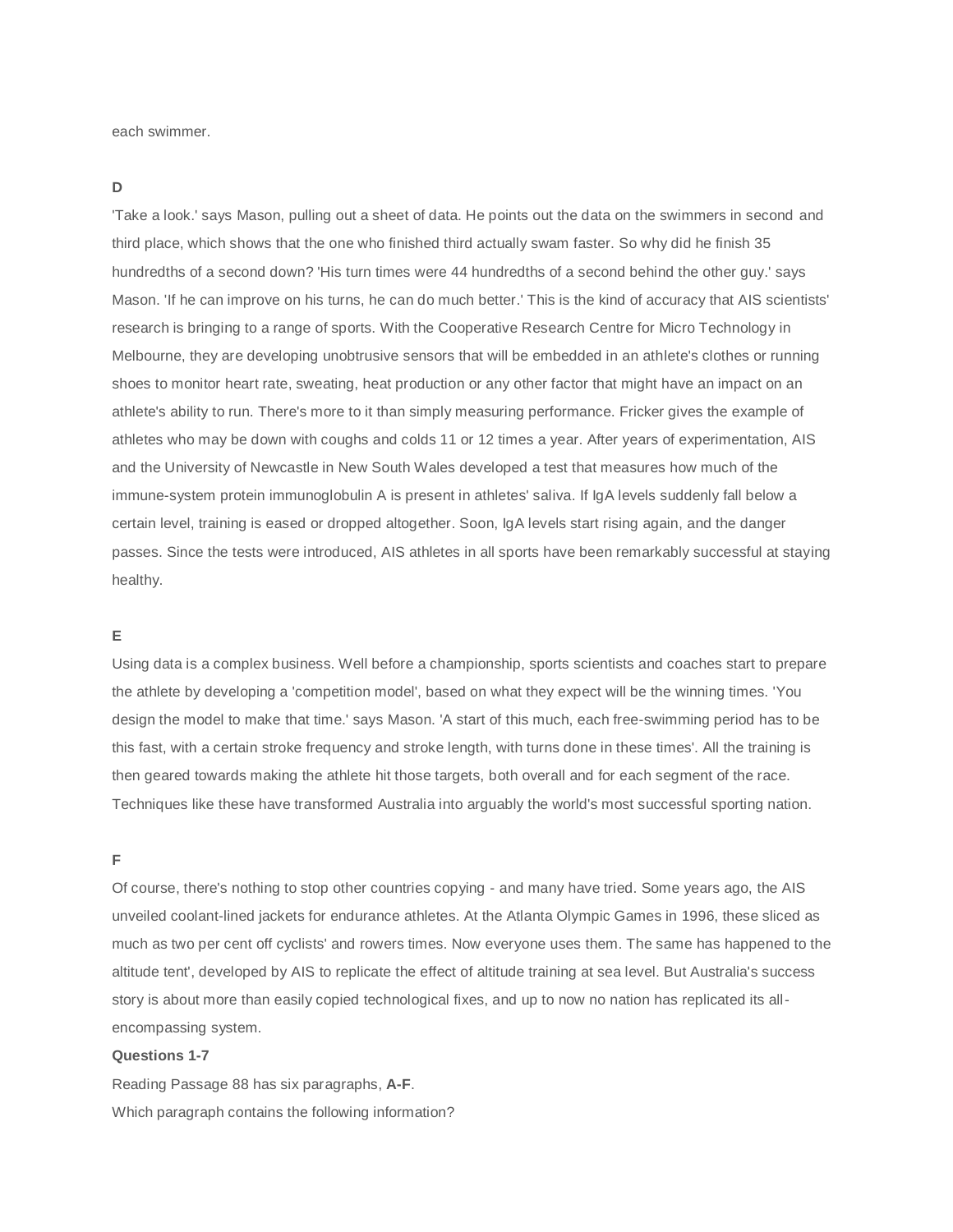each swimmer.

#### **D**

'Take a look.' says Mason, pulling out a sheet of data. He points out the data on the swimmers in second and third place, which shows that the one who finished third actually swam faster. So why did he finish 35 hundredths of a second down? 'His turn times were 44 hundredths of a second behind the other guy.' says Mason. 'If he can improve on his turns, he can do much better.' This is the kind of accuracy that AIS scientists' research is bringing to a range of sports. With the Cooperative Research Centre for Micro Technology in Melbourne, they are developing unobtrusive sensors that will be embedded in an athlete's clothes or running shoes to monitor heart rate, sweating, heat production or any other factor that might have an impact on an athlete's ability to run. There's more to it than simply measuring performance. Fricker gives the example of athletes who may be down with coughs and colds 11 or 12 times a year. After years of experimentation, AIS and the University of Newcastle in New South Wales developed a test that measures how much of the immune-system protein immunoglobulin A is present in athletes' saliva. If IgA levels suddenly fall below a certain level, training is eased or dropped altogether. Soon, IgA levels start rising again, and the danger passes. Since the tests were introduced, AIS athletes in all sports have been remarkably successful at staying healthy.

#### **E**

Using data is a complex business. Well before a championship, sports scientists and coaches start to prepare the athlete by developing a 'competition model', based on what they expect will be the winning times. 'You design the model to make that time.' says Mason. 'A start of this much, each free-swimming period has to be this fast, with a certain stroke frequency and stroke length, with turns done in these times'. All the training is then geared towards making the athlete hit those targets, both overall and for each segment of the race. Techniques like these have transformed Australia into arguably the world's most successful sporting nation.

#### **F**

Of course, there's nothing to stop other countries copying - and many have tried. Some years ago, the AIS unveiled coolant-lined jackets for endurance athletes. At the Atlanta Olympic Games in 1996, these sliced as much as two per cent off cyclists' and rowers times. Now everyone uses them. The same has happened to the altitude tent', developed by AIS to replicate the effect of altitude training at sea level. But Australia's success story is about more than easily copied technological fixes, and up to now no nation has replicated its allencompassing system.

#### **Questions 1-7**

Reading Passage 88 has six paragraphs, **A-F**. Which paragraph contains the following information?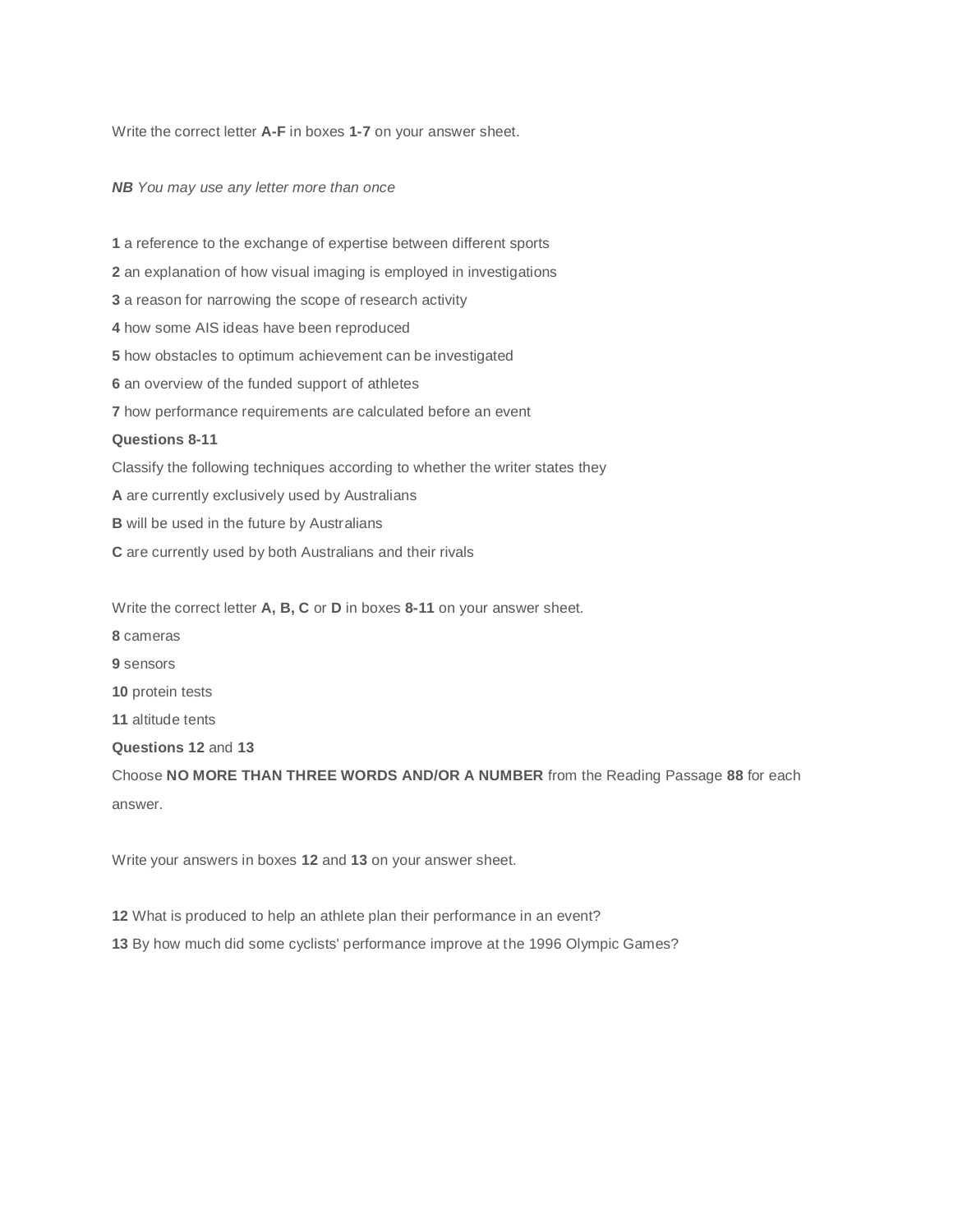Write the correct letter **A-F** in boxes **1-7** on your answer sheet.

#### *NB You may use any letter more than once*

 a reference to the exchange of expertise between different sports an explanation of how visual imaging is employed in investigations a reason for narrowing the scope of research activity how some AIS ideas have been reproduced how obstacles to optimum achievement can be investigated an overview of the funded support of athletes how performance requirements are calculated before an event **Questions 8-11** Classify the following techniques according to whether the writer states they **A** are currently exclusively used by Australians **B** will be used in the future by Australians

**C** are currently used by both Australians and their rivals

Write the correct letter **A, B, C** or **D** in boxes **8-11** on your answer sheet.

- **8** cameras
- **9** sensors
- **10** protein tests
- **11** altitude tents

**Questions 12** and **13**

Choose **NO MORE THAN THREE WORDS AND/OR A NUMBER** from the Reading Passage **88** for each answer.

Write your answers in boxes **12** and **13** on your answer sheet.

**12** What is produced to help an athlete plan their performance in an event? **13** By how much did some cyclists' performance improve at the 1996 Olympic Games?